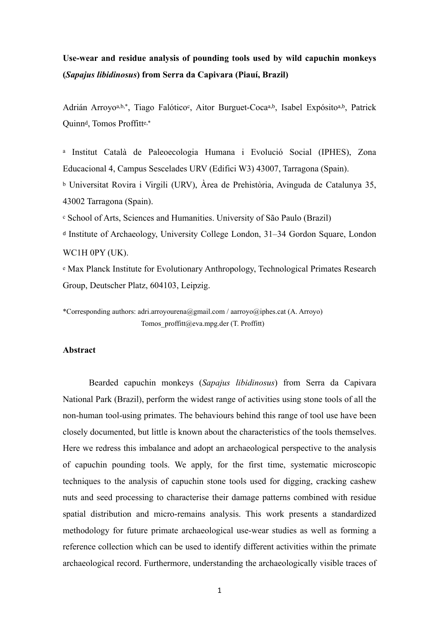# **Use-wear and residue analysis of pounding tools used by wild capuchin monkeys (***Sapajus libidinosus***) from Serra da Capivara (Piauí, Brazil)**

Adrián Arroyoa,b,\*, Tiago Falótico<sup>c</sup>, Aitor Burguet-Cocaa,b, Isabel Expósitoa,b, Patrick Quinnd, Tomos Proffitte,\*

a Institut Català de Paleoecologia Humana i Evolució Social (IPHES), Zona Educacional 4, Campus Sescelades URV (Edifici W3) 43007, Tarragona (Spain).

b Universitat Rovira i Virgili (URV), Àrea de Prehistòria, Avinguda de Catalunya 35, 43002 Tarragona (Spain).

c School of Arts, Sciences and Humanities. University of São Paulo (Brazil)

<sup>d</sup> Institute of Archaeology, University College London, 31–34 Gordon Square, London WC1H 0PY (UK).

e Max Planck Institute for Evolutionary Anthropology, Technological Primates Research Group, Deutscher Platz, 604103, Leipzig.

\*Corresponding authors: adri.arroyourena@gmail.com / aarroyo@iphes.cat (A. Arroyo) Tomos\_proffitt@eva.mpg.der (T. Proffitt)

## **Abstract**

Bearded capuchin monkeys (*Sapajus libidinosus*) from Serra da Capivara National Park (Brazil), perform the widest range of activities using stone tools of all the non-human tool-using primates. The behaviours behind this range of tool use have been closely documented, but little is known about the characteristics of the tools themselves. Here we redress this imbalance and adopt an archaeological perspective to the analysis of capuchin pounding tools. We apply, for the first time, systematic microscopic techniques to the analysis of capuchin stone tools used for digging, cracking cashew nuts and seed processing to characterise their damage patterns combined with residue spatial distribution and micro-remains analysis. This work presents a standardized methodology for future primate archaeological use-wear studies as well as forming a reference collection which can be used to identify different activities within the primate archaeological record. Furthermore, understanding the archaeologically visible traces of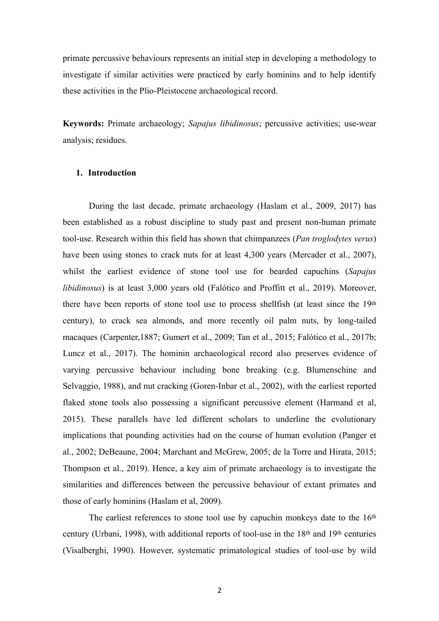primate percussive behaviours represents an initial step in developing a methodology to investigate if similar activities were practiced by early hominins and to help identify these activities in the Plio-Pleistocene archaeological record.

**Keywords:** Primate archaeology; *Sapajus libidinosus*; percussive activities; use-wear analysis; residues.

## **1. Introduction**

During the last decade, primate archaeology (Haslam et al., 2009, 2017) has been established as a robust discipline to study past and present non-human primate tool-use. Research within this field has shown that chimpanzees (*Pan troglodytes verus*) have been using stones to crack nuts for at least 4,300 years (Mercader et al., 2007), whilst the earliest evidence of stone tool use for bearded capuchins (*Sapajus libidinosus*) is at least 3,000 years old (Falótico and Proffitt et al., 2019). Moreover, there have been reports of stone tool use to process shellfish (at least since the 19th century), to crack sea almonds, and more recently oil palm nuts, by long-tailed macaques (Carpenter,1887; Gumert et al., 2009; Tan et al., 2015; Falótico et al., 2017b; Luncz et al., 2017). The hominin archaeological record also preserves evidence of varying percussive behaviour including bone breaking (e.g. Blumenschine and Selvaggio, 1988), and nut cracking (Goren-Inbar et al., 2002), with the earliest reported flaked stone tools also possessing a significant percussive element (Harmand et al, 2015). These parallels have led different scholars to underline the evolutionary implications that pounding activities had on the course of human evolution (Panger et al., 2002; DeBeaune, 2004; Marchant and McGrew, 2005; de la Torre and Hirata, 2015; Thompson et al., 2019). Hence, a key aim of primate archaeology is to investigate the similarities and differences between the percussive behaviour of extant primates and those of early hominins (Haslam et al, 2009).

The earliest references to stone tool use by capuchin monkeys date to the 16th century (Urbani, 1998), with additional reports of tool-use in the 18th and 19th centuries (Visalberghi, 1990). However, systematic primatological studies of tool-use by wild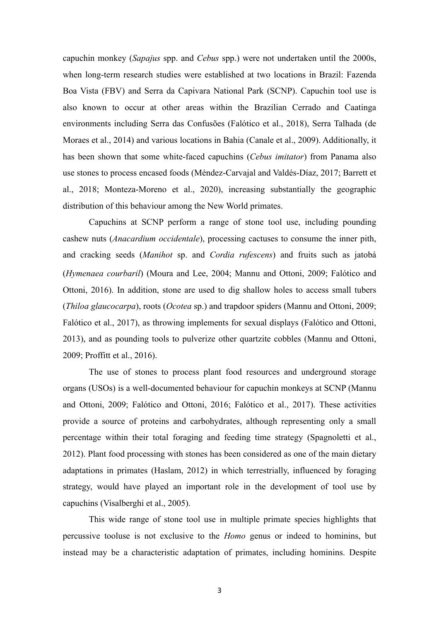capuchin monkey (*Sapajus* spp. and *Cebus* spp.) were not undertaken until the 2000s, when long-term research studies were established at two locations in Brazil: Fazenda Boa Vista (FBV) and Serra da Capivara National Park (SCNP). Capuchin tool use is also known to occur at other areas within the Brazilian Cerrado and Caatinga environments including Serra das Confusões (Falótico et al., 2018), Serra Talhada (de Moraes et al., 2014) and various locations in Bahia (Canale et al., 2009). Additionally, it has been shown that some white-faced capuchins (*Cebus imitator*) from Panama also use stones to process encased foods (Méndez-Carvajal and Valdés-Díaz, 2017; Barrett et al., 2018; Monteza-Moreno et al., 2020), increasing substantially the geographic distribution of this behaviour among the New World primates.

Capuchins at SCNP perform a range of stone tool use, including pounding cashew nuts (*Anacardium occidentale*), processing cactuses to consume the inner pith, and cracking seeds (*Manihot* sp. and *Cordia rufescens*) and fruits such as jatobá (*Hymenaea courbaril*) (Moura and Lee, 2004; Mannu and Ottoni, 2009; Falótico and Ottoni, 2016). In addition, stone are used to dig shallow holes to access small tubers (*Thiloa glaucocarpa*), roots (*Ocotea* sp.) and trapdoor spiders (Mannu and Ottoni, 2009; Falótico et al., 2017), as throwing implements for sexual displays (Falótico and Ottoni, 2013), and as pounding tools to pulverize other quartzite cobbles (Mannu and Ottoni, 2009; Proffitt et al., 2016).

The use of stones to process plant food resources and underground storage organs (USOs) is a well-documented behaviour for capuchin monkeys at SCNP (Mannu and Ottoni, 2009; Falótico and Ottoni, 2016; Falótico et al., 2017). These activities provide a source of proteins and carbohydrates, although representing only a small percentage within their total foraging and feeding time strategy (Spagnoletti et al., 2012). Plant food processing with stones has been considered as one of the main dietary adaptations in primates (Haslam, 2012) in which terrestrially, influenced by foraging strategy, would have played an important role in the development of tool use by capuchins (Visalberghi et al., 2005).

This wide range of stone tool use in multiple primate species highlights that percussive tooluse is not exclusive to the *Homo* genus or indeed to hominins, but instead may be a characteristic adaptation of primates, including hominins. Despite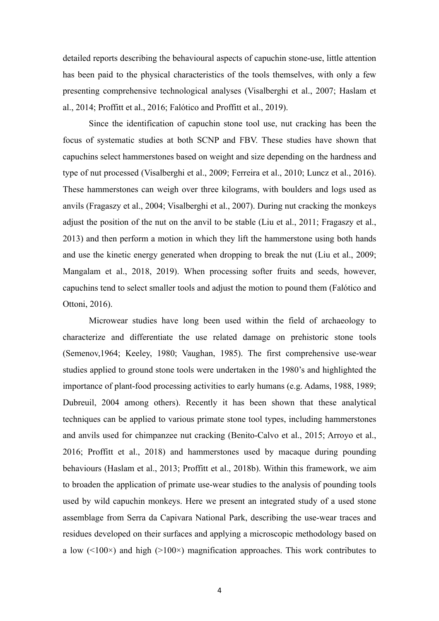detailed reports describing the behavioural aspects of capuchin stone-use, little attention has been paid to the physical characteristics of the tools themselves, with only a few presenting comprehensive technological analyses (Visalberghi et al., 2007; Haslam et al., 2014; Proffitt et al., 2016; Falótico and Proffitt et al., 2019).

Since the identification of capuchin stone tool use, nut cracking has been the focus of systematic studies at both SCNP and FBV. These studies have shown that capuchins select hammerstones based on weight and size depending on the hardness and type of nut processed (Visalberghi et al., 2009; Ferreira et al., 2010; Luncz et al., 2016). These hammerstones can weigh over three kilograms, with boulders and logs used as anvils (Fragaszy et al., 2004; Visalberghi et al., 2007). During nut cracking the monkeys adjust the position of the nut on the anvil to be stable (Liu et al., 2011; Fragaszy et al., 2013) and then perform a motion in which they lift the hammerstone using both hands and use the kinetic energy generated when dropping to break the nut (Liu et al., 2009; Mangalam et al., 2018, 2019). When processing softer fruits and seeds, however, capuchins tend to select smaller tools and adjust the motion to pound them (Falótico and Ottoni, 2016).

Microwear studies have long been used within the field of archaeology to characterize and differentiate the use related damage on prehistoric stone tools (Semenov,1964; Keeley, 1980; Vaughan, 1985). The first comprehensive use-wear studies applied to ground stone tools were undertaken in the 1980's and highlighted the importance of plant-food processing activities to early humans (e.g. Adams, 1988, 1989; Dubreuil, 2004 among others). Recently it has been shown that these analytical techniques can be applied to various primate stone tool types, including hammerstones and anvils used for chimpanzee nut cracking (Benito-Calvo et al., 2015; Arroyo et al., 2016; Proffitt et al., 2018) and hammerstones used by macaque during pounding behaviours (Haslam et al., 2013; Proffitt et al., 2018b). Within this framework, we aim to broaden the application of primate use-wear studies to the analysis of pounding tools used by wild capuchin monkeys. Here we present an integrated study of a used stone assemblage from Serra da Capivara National Park, describing the use-wear traces and residues developed on their surfaces and applying a microscopic methodology based on a low  $(\leq 100 \times)$  and high  $(\geq 100 \times)$  magnification approaches. This work contributes to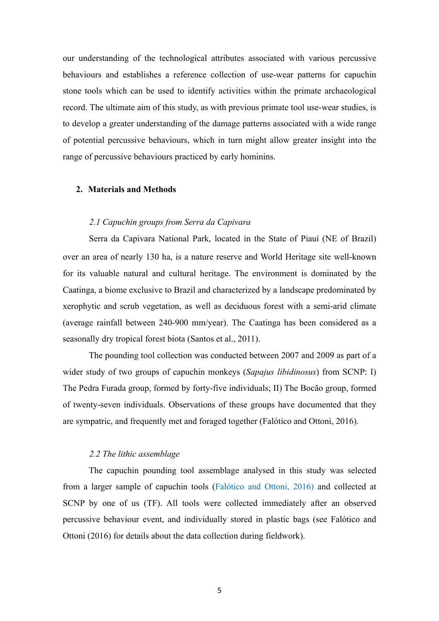our understanding of the technological attributes associated with various percussive behaviours and establishes a reference collection of use-wear patterns for capuchin stone tools which can be used to identify activities within the primate archaeological record. The ultimate aim of this study, as with previous primate tool use-wear studies, is to develop a greater understanding of the damage patterns associated with a wide range of potential percussive behaviours, which in turn might allow greater insight into the range of percussive behaviours practiced by early hominins.

## **2. Materials and Methods**

## *2.1 Capuchin groups from Serra da Capivara*

Serra da Capivara National Park, located in the State of Piauí (NE of Brazil) over an area of nearly 130 ha, is a nature reserve and World Heritage site well-known for its valuable natural and cultural heritage. The environment is dominated by the Caatinga, a biome exclusive to Brazil and characterized by a landscape predominated by xerophytic and scrub vegetation, as well as deciduous forest with a semi-arid climate (average rainfall between 240-900 mm/year). The Caatinga has been considered as a seasonally dry tropical forest biota (Santos et al., 2011).

The pounding tool collection was conducted between 2007 and 2009 as part of a wider study of two groups of capuchin monkeys (*Sapajus libidinosus*) from SCNP: I) The Pedra Furada group, formed by forty-five individuals; II) The Bocão group, formed of twenty-seven individuals. Observations of these groups have documented that they are sympatric, and frequently met and foraged together (Falótico and Ottoni, 2016).

## *2.2 The lithic assemblage*

The capuchin pounding tool assemblage analysed in this study was selected from a larger sample of capuchin tools (Falótico and Ottoni, 2016) and collected at SCNP by one of us (TF). All tools were collected immediately after an observed percussive behaviour event, and individually stored in plastic bags (see Falótico and Ottoni (2016) for details about the data collection during fieldwork).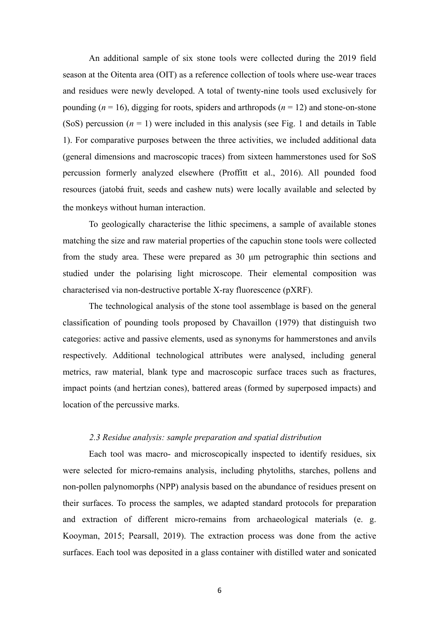An additional sample of six stone tools were collected during the 2019 field season at the Oitenta area (OIT) as a reference collection of tools where use-wear traces and residues were newly developed. A total of twenty-nine tools used exclusively for pounding  $(n = 16)$ , digging for roots, spiders and arthropods  $(n = 12)$  and stone-on-stone (SoS) percussion  $(n = 1)$  were included in this analysis (see Fig. 1 and details in Table 1). For comparative purposes between the three activities, we included additional data (general dimensions and macroscopic traces) from sixteen hammerstones used for SoS percussion formerly analyzed elsewhere (Proffitt et al., 2016). All pounded food resources (jatobá fruit, seeds and cashew nuts) were locally available and selected by the monkeys without human interaction.

To geologically characterise the lithic specimens, a sample of available stones matching the size and raw material properties of the capuchin stone tools were collected from the study area. These were prepared as 30 µm petrographic thin sections and studied under the polarising light microscope. Their elemental composition was characterised via non-destructive portable X-ray fluorescence (pXRF).

The technological analysis of the stone tool assemblage is based on the general classification of pounding tools proposed by Chavaillon (1979) that distinguish two categories: active and passive elements, used as synonyms for hammerstones and anvils respectively. Additional technological attributes were analysed, including general metrics, raw material, blank type and macroscopic surface traces such as fractures, impact points (and hertzian cones), battered areas (formed by superposed impacts) and location of the percussive marks.

## *2.3 Residue analysis: sample preparation and spatial distribution*

Each tool was macro- and microscopically inspected to identify residues, six were selected for micro-remains analysis, including phytoliths, starches, pollens and non-pollen palynomorphs (NPP) analysis based on the abundance of residues present on their surfaces. To process the samples, we adapted standard protocols for preparation and extraction of different micro-remains from archaeological materials (e. g. Kooyman, 2015; Pearsall, 2019). The extraction process was done from the active surfaces. Each tool was deposited in a glass container with distilled water and sonicated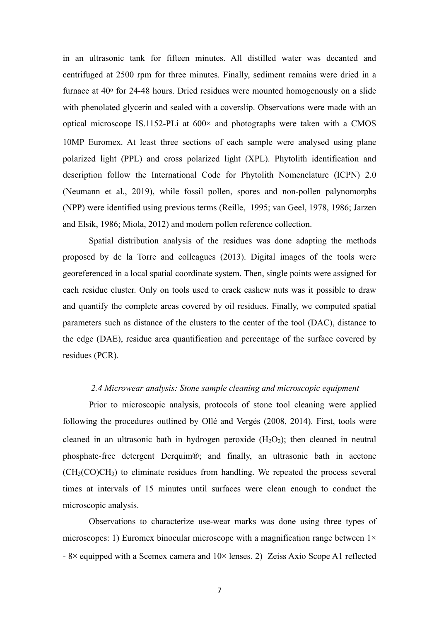in an ultrasonic tank for fifteen minutes. All distilled water was decanted and centrifuged at 2500 rpm for three minutes. Finally, sediment remains were dried in a furnace at  $40^{\circ}$  for 24-48 hours. Dried residues were mounted homogenously on a slide with phenolated glycerin and sealed with a coverslip. Observations were made with an optical microscope IS.1152-PLi at  $600 \times$  and photographs were taken with a CMOS 10MP Euromex. At least three sections of each sample were analysed using plane polarized light (PPL) and cross polarized light (XPL). Phytolith identification and description follow the International Code for Phytolith Nomenclature (ICPN) 2.0 (Neumann et al., 2019), while fossil pollen, spores and non-pollen palynomorphs (NPP) were identified using previous terms (Reille, 1995; van Geel, 1978, 1986; Jarzen and Elsik, 1986; Miola, 2012) and modern pollen reference collection.

Spatial distribution analysis of the residues was done adapting the methods proposed by de la Torre and colleagues (2013). Digital images of the tools were georeferenced in a local spatial coordinate system. Then, single points were assigned for each residue cluster. Only on tools used to crack cashew nuts was it possible to draw and quantify the complete areas covered by oil residues. Finally, we computed spatial parameters such as distance of the clusters to the center of the tool (DAC), distance to the edge (DAE), residue area quantification and percentage of the surface covered by residues (PCR).

#### *2.4 Microwear analysis: Stone sample cleaning and microscopic equipment*

Prior to microscopic analysis, protocols of stone tool cleaning were applied following the procedures outlined by Ollé and Vergés (2008, 2014). First, tools were cleaned in an ultrasonic bath in hydrogen peroxide  $(H_2O_2)$ ; then cleaned in neutral phosphate-free detergent Derquim®; and finally, an ultrasonic bath in acetone (CH3(CO)CH3) to eliminate residues from handling. We repeated the process several times at intervals of 15 minutes until surfaces were clean enough to conduct the microscopic analysis.

Observations to characterize use-wear marks was done using three types of microscopes: 1) Euromex binocular microscope with a magnification range between  $1 \times$  $-8\times$  equipped with a Scemex camera and  $10\times$  lenses. 2) Zeiss Axio Scope A1 reflected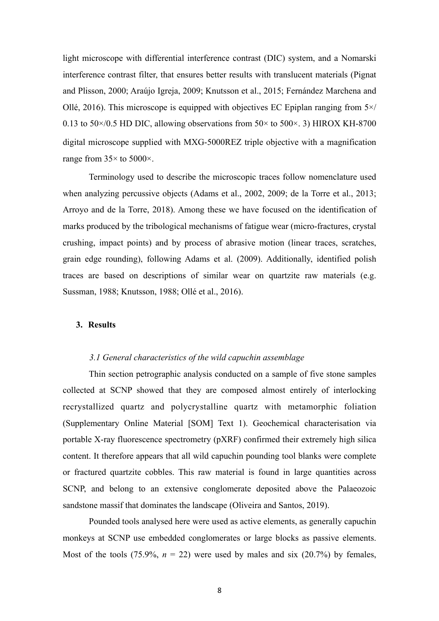light microscope with differential interference contrast (DIC) system, and a Nomarski interference contrast filter, that ensures better results with translucent materials (Pignat and Plisson, 2000; Araújo Igreja, 2009; Knutsson et al., 2015; Fernández Marchena and Ollé, 2016). This microscope is equipped with objectives EC Epiplan ranging from  $5 \times$ / 0.13 to 50 $\times$ /0.5 HD DIC, allowing observations from 50 $\times$  to 500 $\times$ . 3) HIROX KH-8700 digital microscope supplied with MXG-5000REZ triple objective with a magnification range from  $35 \times$  to  $5000 \times$ .

Terminology used to describe the microscopic traces follow nomenclature used when analyzing percussive objects (Adams et al., 2002, 2009; de la Torre et al., 2013; Arroyo and de la Torre, 2018). Among these we have focused on the identification of marks produced by the tribological mechanisms of fatigue wear (micro-fractures, crystal crushing, impact points) and by process of abrasive motion (linear traces, scratches, grain edge rounding), following Adams et al. (2009). Additionally, identified polish traces are based on descriptions of similar wear on quartzite raw materials (e.g. Sussman, 1988; Knutsson, 1988; Ollé et al., 2016).

## **3. Results**

#### *3.1 General characteristics of the wild capuchin assemblage*

Thin section petrographic analysis conducted on a sample of five stone samples collected at SCNP showed that they are composed almost entirely of interlocking recrystallized quartz and polycrystalline quartz with metamorphic foliation (Supplementary Online Material [SOM] Text 1). Geochemical characterisation via portable X-ray fluorescence spectrometry (pXRF) confirmed their extremely high silica content. It therefore appears that all wild capuchin pounding tool blanks were complete or fractured quartzite cobbles. This raw material is found in large quantities across SCNP, and belong to an extensive conglomerate deposited above the Palaeozoic sandstone massif that dominates the landscape (Oliveira and Santos, 2019).

Pounded tools analysed here were used as active elements, as generally capuchin monkeys at SCNP use embedded conglomerates or large blocks as passive elements. Most of the tools (75.9%,  $n = 22$ ) were used by males and six (20.7%) by females,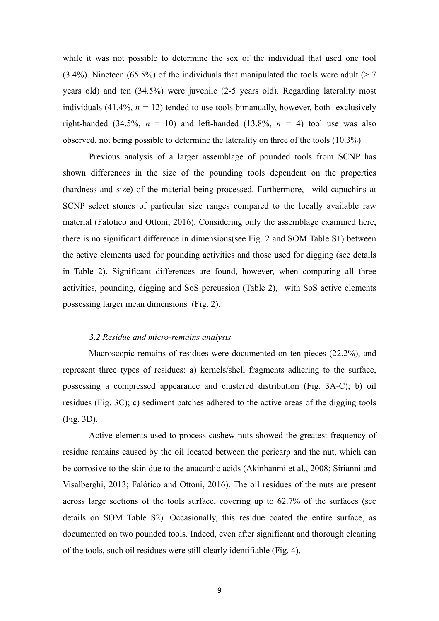while it was not possible to determine the sex of the individual that used one tool (3.4%). Nineteen (65.5%) of the individuals that manipulated the tools were adult ( $> 7$ years old) and ten (34.5%) were juvenile (2-5 years old). Regarding laterality most individuals (41.4%,  $n = 12$ ) tended to use tools bimanually, however, both exclusively right-handed (34.5%,  $n = 10$ ) and left-handed (13.8%,  $n = 4$ ) tool use was also observed, not being possible to determine the laterality on three of the tools (10.3%)

Previous analysis of a larger assemblage of pounded tools from SCNP has shown differences in the size of the pounding tools dependent on the properties (hardness and size) of the material being processed. Furthermore, wild capuchins at SCNP select stones of particular size ranges compared to the locally available raw material (Falótico and Ottoni, 2016). Considering only the assemblage examined here, there is no significant difference in dimensions(see Fig. 2 and SOM Table S1) between the active elements used for pounding activities and those used for digging (see details in Table 2). Significant differences are found, however, when comparing all three activities, pounding, digging and SoS percussion (Table 2), with SoS active elements possessing larger mean dimensions (Fig. 2).

## *3.2 Residue and micro-remains analysis*

Macroscopic remains of residues were documented on ten pieces (22.2%), and represent three types of residues: a) kernels/shell fragments adhering to the surface, possessing a compressed appearance and clustered distribution (Fig. 3A-C); b) oil residues (Fig. 3C); c) sediment patches adhered to the active areas of the digging tools (Fig. 3D).

Active elements used to process cashew nuts showed the greatest frequency of residue remains caused by the oil located between the pericarp and the nut, which can be corrosive to the skin due to the anacardic acids (Akinhanmi et al., 2008; Sirianni and Visalberghi, 2013; Falótico and Ottoni, 2016). The oil residues of the nuts are present across large sections of the tools surface, covering up to 62.7% of the surfaces (see details on SOM Table S2). Occasionally, this residue coated the entire surface, as documented on two pounded tools. Indeed, even after significant and thorough cleaning of the tools, such oil residues were still clearly identifiable (Fig. 4).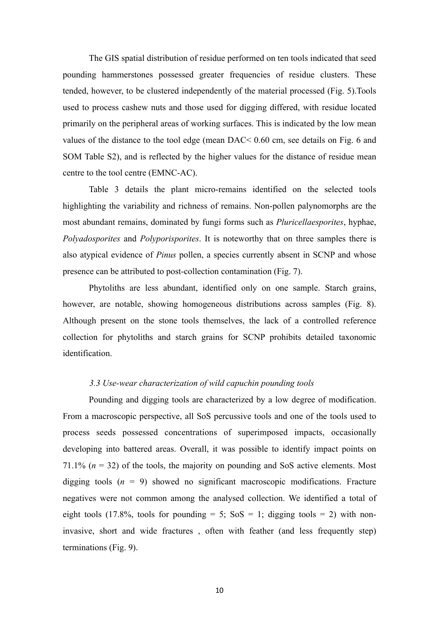The GIS spatial distribution of residue performed on ten tools indicated that seed pounding hammerstones possessed greater frequencies of residue clusters. These tended, however, to be clustered independently of the material processed (Fig. 5).Tools used to process cashew nuts and those used for digging differed, with residue located primarily on the peripheral areas of working surfaces. This is indicated by the low mean values of the distance to the tool edge (mean DAC< 0.60 cm, see details on Fig. 6 and SOM Table S2), and is reflected by the higher values for the distance of residue mean centre to the tool centre (EMNC-AC).

Table 3 details the plant micro-remains identified on the selected tools highlighting the variability and richness of remains. Non-pollen palynomorphs are the most abundant remains, dominated by fungi forms such as *Pluricellaesporites*, hyphae, *Polyadosporites* and *Polyporisporites*. It is noteworthy that on three samples there is also atypical evidence of *Pinus* pollen, a species currently absent in SCNP and whose presence can be attributed to post-collection contamination (Fig. 7).

Phytoliths are less abundant, identified only on one sample. Starch grains, however, are notable, showing homogeneous distributions across samples (Fig. 8). Although present on the stone tools themselves, the lack of a controlled reference collection for phytoliths and starch grains for SCNP prohibits detailed taxonomic identification.

#### *3.3 Use-wear characterization of wild capuchin pounding tools*

Pounding and digging tools are characterized by a low degree of modification. From a macroscopic perspective, all SoS percussive tools and one of the tools used to process seeds possessed concentrations of superimposed impacts, occasionally developing into battered areas. Overall, it was possible to identify impact points on 71.1%  $(n = 32)$  of the tools, the majority on pounding and SoS active elements. Most digging tools  $(n = 9)$  showed no significant macroscopic modifications. Fracture negatives were not common among the analysed collection. We identified a total of eight tools (17.8%, tools for pounding = 5;  $S \circ S = 1$ ; digging tools = 2) with noninvasive, short and wide fractures , often with feather (and less frequently step) terminations (Fig. 9).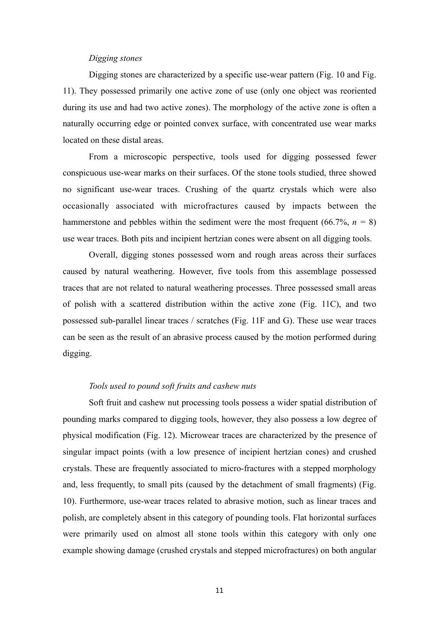#### *Digging stones*

Digging stones are characterized by a specific use-wear pattern (Fig. 10 and Fig. 11). They possessed primarily one active zone of use (only one object was reoriented during its use and had two active zones). The morphology of the active zone is often a naturally occurring edge or pointed convex surface, with concentrated use wear marks located on these distal areas.

From a microscopic perspective, tools used for digging possessed fewer conspicuous use-wear marks on their surfaces. Of the stone tools studied, three showed no significant use-wear traces. Crushing of the quartz crystals which were also occasionally associated with microfractures caused by impacts between the hammerstone and pebbles within the sediment were the most frequent  $(66.7\%, n = 8)$ use wear traces. Both pits and incipient hertzian cones were absent on all digging tools.

Overall, digging stones possessed worn and rough areas across their surfaces caused by natural weathering. However, five tools from this assemblage possessed traces that are not related to natural weathering processes. Three possessed small areas of polish with a scattered distribution within the active zone (Fig. 11C), and two possessed sub-parallel linear traces / scratches (Fig. 11F and G). These use wear traces can be seen as the result of an abrasive process caused by the motion performed during digging.

# *Tools used to pound soft fruits and cashew nuts*

Soft fruit and cashew nut processing tools possess a wider spatial distribution of pounding marks compared to digging tools, however, they also possess a low degree of physical modification (Fig. 12). Microwear traces are characterized by the presence of singular impact points (with a low presence of incipient hertzian cones) and crushed crystals. These are frequently associated to micro-fractures with a stepped morphology and, less frequently, to small pits (caused by the detachment of small fragments) (Fig. 10). Furthermore, use-wear traces related to abrasive motion, such as linear traces and polish, are completely absent in this category of pounding tools. Flat horizontal surfaces were primarily used on almost all stone tools within this category with only one example showing damage (crushed crystals and stepped microfractures) on both angular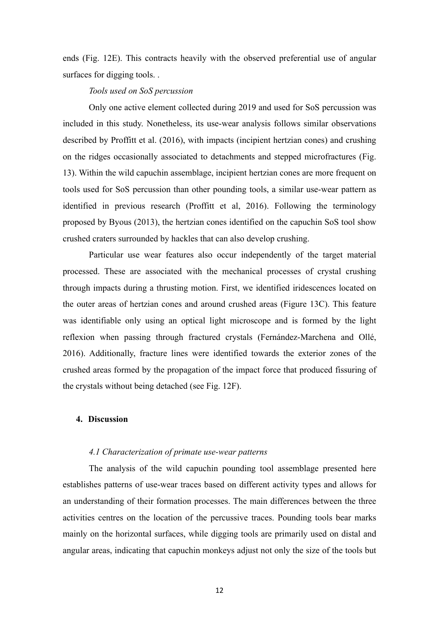ends (Fig. 12E). This contracts heavily with the observed preferential use of angular surfaces for digging tools. .

## *Tools used on SoS percussion*

Only one active element collected during 2019 and used for SoS percussion was included in this study. Nonetheless, its use-wear analysis follows similar observations described by Proffitt et al. (2016), with impacts (incipient hertzian cones) and crushing on the ridges occasionally associated to detachments and stepped microfractures (Fig. 13). Within the wild capuchin assemblage, incipient hertzian cones are more frequent on tools used for SoS percussion than other pounding tools, a similar use-wear pattern as identified in previous research (Proffitt et al, 2016). Following the terminology proposed by Byous (2013), the hertzian cones identified on the capuchin SoS tool show crushed craters surrounded by hackles that can also develop crushing.

Particular use wear features also occur independently of the target material processed. These are associated with the mechanical processes of crystal crushing through impacts during a thrusting motion. First, we identified iridescences located on the outer areas of hertzian cones and around crushed areas (Figure 13C). This feature was identifiable only using an optical light microscope and is formed by the light reflexion when passing through fractured crystals (Fernández-Marchena and Ollé, 2016). Additionally, fracture lines were identified towards the exterior zones of the crushed areas formed by the propagation of the impact force that produced fissuring of the crystals without being detached (see Fig. 12F).

## **4. Discussion**

#### *4.1 Characterization of primate use-wear patterns*

The analysis of the wild capuchin pounding tool assemblage presented here establishes patterns of use-wear traces based on different activity types and allows for an understanding of their formation processes. The main differences between the three activities centres on the location of the percussive traces. Pounding tools bear marks mainly on the horizontal surfaces, while digging tools are primarily used on distal and angular areas, indicating that capuchin monkeys adjust not only the size of the tools but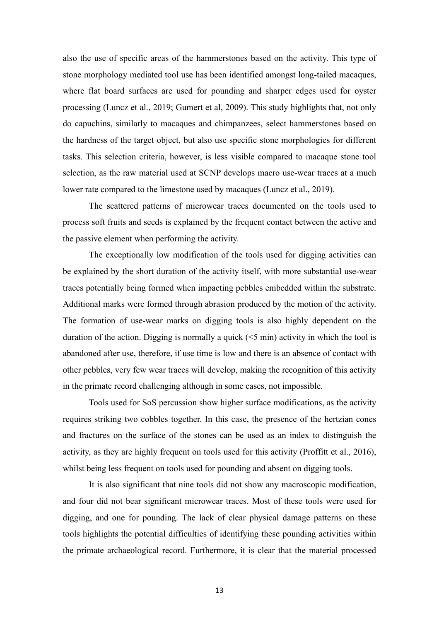also the use of specific areas of the hammerstones based on the activity. This type of stone morphology mediated tool use has been identified amongst long-tailed macaques, where flat board surfaces are used for pounding and sharper edges used for oyster processing (Luncz et al., 2019; Gumert et al, 2009). This study highlights that, not only do capuchins, similarly to macaques and chimpanzees, select hammerstones based on the hardness of the target object, but also use specific stone morphologies for different tasks. This selection criteria, however, is less visible compared to macaque stone tool selection, as the raw material used at SCNP develops macro use-wear traces at a much lower rate compared to the limestone used by macaques (Luncz et al., 2019).

The scattered patterns of microwear traces documented on the tools used to process soft fruits and seeds is explained by the frequent contact between the active and the passive element when performing the activity.

The exceptionally low modification of the tools used for digging activities can be explained by the short duration of the activity itself, with more substantial use-wear traces potentially being formed when impacting pebbles embedded within the substrate. Additional marks were formed through abrasion produced by the motion of the activity. The formation of use-wear marks on digging tools is also highly dependent on the duration of the action. Digging is normally a quick  $(<5$  min) activity in which the tool is abandoned after use, therefore, if use time is low and there is an absence of contact with other pebbles, very few wear traces will develop, making the recognition of this activity in the primate record challenging although in some cases, not impossible.

Tools used for SoS percussion show higher surface modifications, as the activity requires striking two cobbles together. In this case, the presence of the hertzian cones and fractures on the surface of the stones can be used as an index to distinguish the activity, as they are highly frequent on tools used for this activity (Proffitt et al., 2016), whilst being less frequent on tools used for pounding and absent on digging tools.

It is also significant that nine tools did not show any macroscopic modification, and four did not bear significant microwear traces. Most of these tools were used for digging, and one for pounding. The lack of clear physical damage patterns on these tools highlights the potential difficulties of identifying these pounding activities within the primate archaeological record. Furthermore, it is clear that the material processed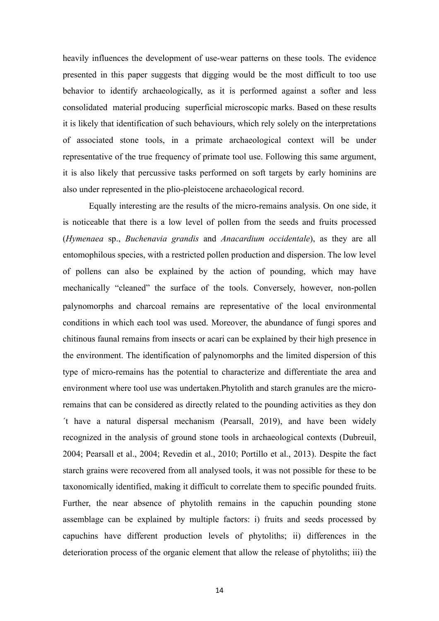heavily influences the development of use-wear patterns on these tools. The evidence presented in this paper suggests that digging would be the most difficult to too use behavior to identify archaeologically, as it is performed against a softer and less consolidated material producing superficial microscopic marks. Based on these results it is likely that identification of such behaviours, which rely solely on the interpretations of associated stone tools, in a primate archaeological context will be under representative of the true frequency of primate tool use. Following this same argument, it is also likely that percussive tasks performed on soft targets by early hominins are also under represented in the plio-pleistocene archaeological record.

Equally interesting are the results of the micro-remains analysis. On one side, it is noticeable that there is a low level of pollen from the seeds and fruits processed (*Hymenaea* sp., *Buchenavia grandis* and *Anacardium occidentale*), as they are all entomophilous species, with a restricted pollen production and dispersion. The low level of pollens can also be explained by the action of pounding, which may have mechanically "cleaned" the surface of the tools. Conversely, however, non-pollen palynomorphs and charcoal remains are representative of the local environmental conditions in which each tool was used. Moreover, the abundance of fungi spores and chitinous faunal remains from insects or acari can be explained by their high presence in the environment. The identification of palynomorphs and the limited dispersion of this type of micro-remains has the potential to characterize and differentiate the area and environment where tool use was undertaken.Phytolith and starch granules are the microremains that can be considered as directly related to the pounding activities as they don ´t have a natural dispersal mechanism (Pearsall, 2019), and have been widely recognized in the analysis of ground stone tools in archaeological contexts (Dubreuil, 2004; Pearsall et al., 2004; Revedin et al., 2010; Portillo et al., 2013). Despite the fact starch grains were recovered from all analysed tools, it was not possible for these to be taxonomically identified, making it difficult to correlate them to specific pounded fruits. Further, the near absence of phytolith remains in the capuchin pounding stone assemblage can be explained by multiple factors: i) fruits and seeds processed by capuchins have different production levels of phytoliths; ii) differences in the deterioration process of the organic element that allow the release of phytoliths; iii) the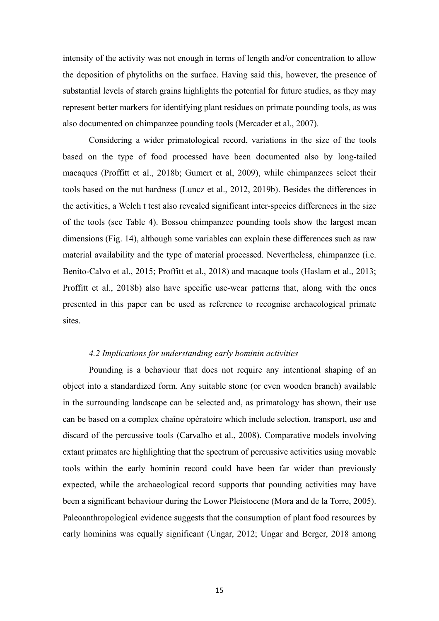intensity of the activity was not enough in terms of length and/or concentration to allow the deposition of phytoliths on the surface. Having said this, however, the presence of substantial levels of starch grains highlights the potential for future studies, as they may represent better markers for identifying plant residues on primate pounding tools, as was also documented on chimpanzee pounding tools (Mercader et al., 2007).

Considering a wider primatological record, variations in the size of the tools based on the type of food processed have been documented also by long-tailed macaques (Proffitt et al., 2018b; Gumert et al, 2009), while chimpanzees select their tools based on the nut hardness (Luncz et al., 2012, 2019b). Besides the differences in the activities, a Welch t test also revealed significant inter-species differences in the size of the tools (see Table 4). Bossou chimpanzee pounding tools show the largest mean dimensions (Fig. 14), although some variables can explain these differences such as raw material availability and the type of material processed. Nevertheless, chimpanzee (i.e. Benito-Calvo et al., 2015; Proffitt et al., 2018) and macaque tools (Haslam et al., 2013; Proffitt et al., 2018b) also have specific use-wear patterns that, along with the ones presented in this paper can be used as reference to recognise archaeological primate sites.

## *4.2 Implications for understanding early hominin activities*

Pounding is a behaviour that does not require any intentional shaping of an object into a standardized form. Any suitable stone (or even wooden branch) available in the surrounding landscape can be selected and, as primatology has shown, their use can be based on a complex chaîne opératoire which include selection, transport, use and discard of the percussive tools (Carvalho et al., 2008). Comparative models involving extant primates are highlighting that the spectrum of percussive activities using movable tools within the early hominin record could have been far wider than previously expected, while the archaeological record supports that pounding activities may have been a significant behaviour during the Lower Pleistocene (Mora and de la Torre, 2005). Paleoanthropological evidence suggests that the consumption of plant food resources by early hominins was equally significant (Ungar, 2012; Ungar and Berger, 2018 among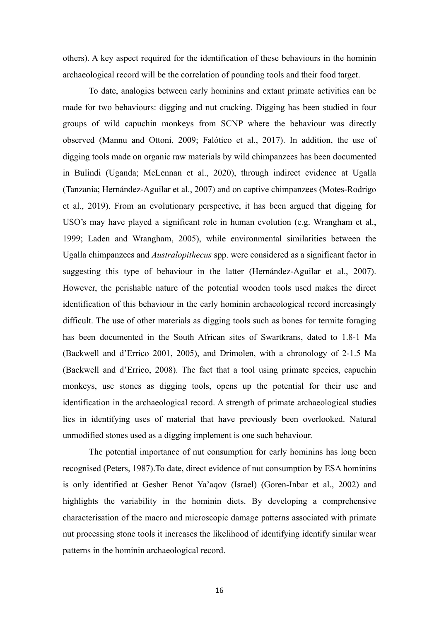others). A key aspect required for the identification of these behaviours in the hominin archaeological record will be the correlation of pounding tools and their food target.

To date, analogies between early hominins and extant primate activities can be made for two behaviours: digging and nut cracking. Digging has been studied in four groups of wild capuchin monkeys from SCNP where the behaviour was directly observed (Mannu and Ottoni, 2009; Falótico et al., 2017). In addition, the use of digging tools made on organic raw materials by wild chimpanzees has been documented in Bulindi (Uganda; McLennan et al., 2020), through indirect evidence at Ugalla (Tanzania; Hernández-Aguilar et al., 2007) and on captive chimpanzees (Motes-Rodrigo et al., 2019). From an evolutionary perspective, it has been argued that digging for USO's may have played a significant role in human evolution (e.g. Wrangham et al., 1999; Laden and Wrangham, 2005), while environmental similarities between the Ugalla chimpanzees and *Australopithecus* spp. were considered as a significant factor in suggesting this type of behaviour in the latter (Hernández-Aguilar et al., 2007). However, the perishable nature of the potential wooden tools used makes the direct identification of this behaviour in the early hominin archaeological record increasingly difficult. The use of other materials as digging tools such as bones for termite foraging has been documented in the South African sites of Swartkrans, dated to 1.8-1 Ma (Backwell and d'Errico 2001, 2005), and Drimolen, with a chronology of 2-1.5 Ma (Backwell and d'Errico, 2008). The fact that a tool using primate species, capuchin monkeys, use stones as digging tools, opens up the potential for their use and identification in the archaeological record. A strength of primate archaeological studies lies in identifying uses of material that have previously been overlooked. Natural unmodified stones used as a digging implement is one such behaviour.

The potential importance of nut consumption for early hominins has long been recognised (Peters, 1987).To date, direct evidence of nut consumption by ESA hominins is only identified at Gesher Benot Ya'aqov (Israel) (Goren-Inbar et al., 2002) and highlights the variability in the hominin diets. By developing a comprehensive characterisation of the macro and microscopic damage patterns associated with primate nut processing stone tools it increases the likelihood of identifying identify similar wear patterns in the hominin archaeological record.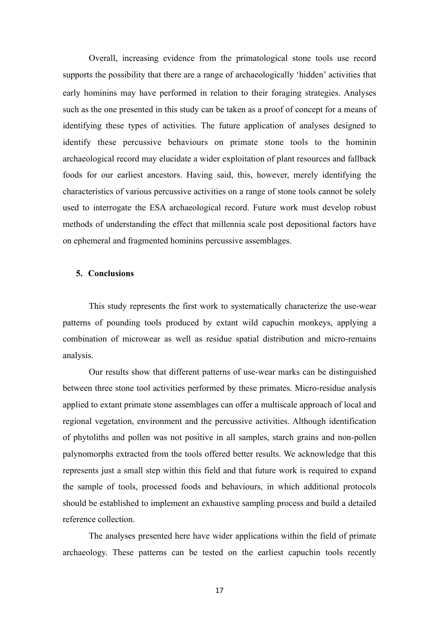Overall, increasing evidence from the primatological stone tools use record supports the possibility that there are a range of archaeologically 'hidden' activities that early hominins may have performed in relation to their foraging strategies. Analyses such as the one presented in this study can be taken as a proof of concept for a means of identifying these types of activities. The future application of analyses designed to identify these percussive behaviours on primate stone tools to the hominin archaeological record may elucidate a wider exploitation of plant resources and fallback foods for our earliest ancestors. Having said, this, however, merely identifying the characteristics of various percussive activities on a range of stone tools cannot be solely used to interrogate the ESA archaeological record. Future work must develop robust methods of understanding the effect that millennia scale post depositional factors have on ephemeral and fragmented hominins percussive assemblages.

#### **5. Conclusions**

This study represents the first work to systematically characterize the use-wear patterns of pounding tools produced by extant wild capuchin monkeys, applying a combination of microwear as well as residue spatial distribution and micro-remains analysis.

Our results show that different patterns of use-wear marks can be distinguished between three stone tool activities performed by these primates. Micro-residue analysis applied to extant primate stone assemblages can offer a multiscale approach of local and regional vegetation, environment and the percussive activities. Although identification of phytoliths and pollen was not positive in all samples, starch grains and non-pollen palynomorphs extracted from the tools offered better results. We acknowledge that this represents just a small step within this field and that future work is required to expand the sample of tools, processed foods and behaviours, in which additional protocols should be established to implement an exhaustive sampling process and build a detailed reference collection.

The analyses presented here have wider applications within the field of primate archaeology. These patterns can be tested on the earliest capuchin tools recently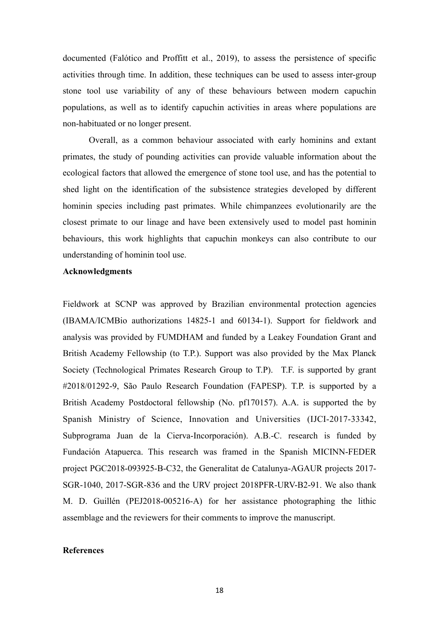documented (Falótico and Proffitt et al., 2019), to assess the persistence of specific activities through time. In addition, these techniques can be used to assess inter-group stone tool use variability of any of these behaviours between modern capuchin populations, as well as to identify capuchin activities in areas where populations are non-habituated or no longer present.

Overall, as a common behaviour associated with early hominins and extant primates, the study of pounding activities can provide valuable information about the ecological factors that allowed the emergence of stone tool use, and has the potential to shed light on the identification of the subsistence strategies developed by different hominin species including past primates. While chimpanzees evolutionarily are the closest primate to our linage and have been extensively used to model past hominin behaviours, this work highlights that capuchin monkeys can also contribute to our understanding of hominin tool use.

## **Acknowledgments**

Fieldwork at SCNP was approved by Brazilian environmental protection agencies (IBAMA/ICMBio authorizations 14825-1 and 60134-1). Support for fieldwork and analysis was provided by FUMDHAM and funded by a Leakey Foundation Grant and British Academy Fellowship (to T.P.). Support was also provided by the Max Planck Society (Technological Primates Research Group to T.P). T.F. is supported by grant #2018/01292-9, São Paulo Research Foundation (FAPESP). T.P. is supported by a British Academy Postdoctoral fellowship (No. pf170157). A.A. is supported the by Spanish Ministry of Science, Innovation and Universities (IJCI-2017-33342, Subprograma Juan de la Cierva-Incorporación). A.B.-C. research is funded by Fundación Atapuerca. This research was framed in the Spanish MICINN-FEDER project PGC2018-093925-B-C32, the Generalitat de Catalunya-AGAUR projects 2017- SGR-1040, 2017-SGR-836 and the URV project 2018PFR-URV-B2-91. We also thank M. D. Guillén (PEJ2018-005216-A) for her assistance photographing the lithic assemblage and the reviewers for their comments to improve the manuscript.

#### **References**

18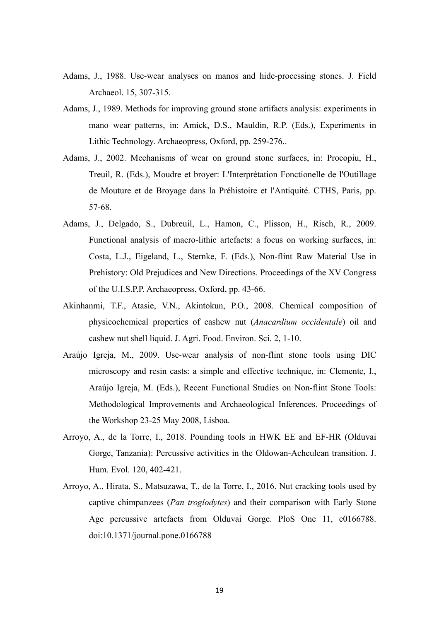- Adams, J., 1988. Use-wear analyses on manos and hide-processing stones. J. Field Archaeol. 15, 307-315.
- Adams, J., 1989. Methods for improving ground stone artifacts analysis: experiments in mano wear patterns, in: Amick, D.S., Mauldin, R.P. (Eds.), Experiments in Lithic Technology. Archaeopress, Oxford, pp. 259-276..
- Adams, J., 2002. Mechanisms of wear on ground stone surfaces, in: Procopiu, H., Treuil, R. (Eds.), Moudre et broyer: L'Interprétation Fonctionelle de l'Outillage de Mouture et de Broyage dans la Préhistoire et l'Antiquité. CTHS, Paris, pp. 57-68.
- Adams, J., Delgado, S., Dubreuil, L., Hamon, C., Plisson, H., Risch, R., 2009. Functional analysis of macro-lithic artefacts: a focus on working surfaces, in: Costa, L.J., Eigeland, L., Sternke, F. (Eds.), Non-flint Raw Material Use in Prehistory: Old Prejudices and New Directions. Proceedings of the XV Congress of the U.I.S.P.P. Archaeopress, Oxford, pp. 43-66.
- Akinhanmi, T.F., Atasie, V.N., Akintokun, P.O., 2008. Chemical composition of physicochemical properties of cashew nut (*Anacardium occidentale*) oil and cashew nut shell liquid. J. Agri. Food. Environ. Sci. 2, 1-10.
- Araújo Igreja, M., 2009. Use-wear analysis of non-flint stone tools using DIC microscopy and resin casts: a simple and effective technique, in: Clemente, I., Araújo Igreja, M. (Eds.), Recent Functional Studies on Non-flint Stone Tools: Methodological Improvements and Archaeological Inferences. Proceedings of the Workshop 23-25 May 2008, Lisboa.
- Arroyo, A., de la Torre, I., 2018. Pounding tools in HWK EE and EF-HR (Olduvai Gorge, Tanzania): Percussive activities in the Oldowan-Acheulean transition. J. Hum. Evol. 120, 402-421.
- Arroyo, A., Hirata, S., Matsuzawa, T., de la Torre, I., 2016. Nut cracking tools used by captive chimpanzees (*Pan troglodytes*) and their comparison with Early Stone Age percussive artefacts from Olduvai Gorge. PloS One 11, e0166788. doi:10.1371/journal.pone.0166788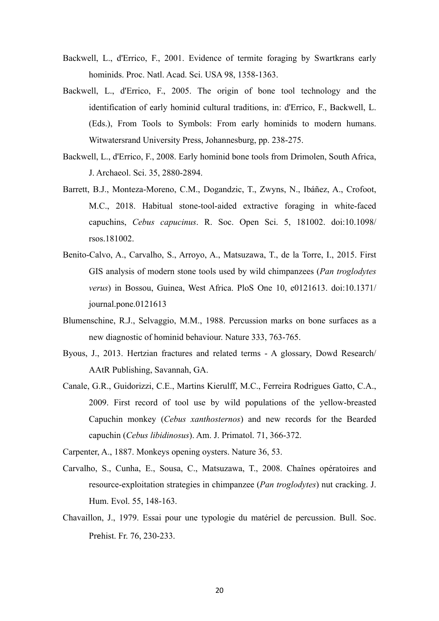- Backwell, L., d'Errico, F., 2001. Evidence of termite foraging by Swartkrans early hominids. Proc. Natl. Acad. Sci. USA 98, 1358-1363.
- Backwell, L., d'Errico, F., 2005. The origin of bone tool technology and the identification of early hominid cultural traditions, in: d'Errico, F., Backwell, L. (Eds.), From Tools to Symbols: From early hominids to modern humans. Witwatersrand University Press, Johannesburg, pp. 238-275.
- Backwell, L., d'Errico, F., 2008. Early hominid bone tools from Drimolen, South Africa, J. Archaeol. Sci. 35, 2880-2894.
- Barrett, B.J., Monteza-Moreno, C.M., Dogandzic, T., Zwyns, N., Ibáñez, A., Crofoot, M.C., 2018. Habitual stone-tool-aided extractive foraging in white-faced capuchins, *Cebus capucinus*. R. Soc. Open Sci. 5, 181002. doi:10.1098/ rsos.181002.
- Benito-Calvo, A., Carvalho, S., Arroyo, A., Matsuzawa, T., de la Torre, I., 2015. First GIS analysis of modern stone tools used by wild chimpanzees (*Pan troglodytes verus*) in Bossou, Guinea, West Africa. PloS One 10, e0121613. doi:10.1371/ journal.pone.0121613
- Blumenschine, R.J., Selvaggio, M.M., 1988. Percussion marks on bone surfaces as a new diagnostic of hominid behaviour. Nature 333, 763-765.
- Byous, J., 2013. Hertzian fractures and related terms A glossary, Dowd Research/ AAtR Publishing, Savannah, GA.
- Canale, G.R., Guidorizzi, C.E., Martins Kierulff, M.C., Ferreira Rodrigues Gatto, C.A., 2009. First record of tool use by wild populations of the yellow-breasted Capuchin monkey (*Cebus xanthosternos*) and new records for the Bearded capuchin (*Cebus libidinosus*). Am. J. Primatol. 71, 366-372.

Carpenter, A., 1887. Monkeys opening oysters. Nature 36, 53.

- Carvalho, S., Cunha, E., Sousa, C., Matsuzawa, T., 2008. Chaînes opératoires and resource-exploitation strategies in chimpanzee (*Pan troglodytes*) nut cracking. J. Hum. Evol. 55, 148-163.
- Chavaillon, J., 1979. Essai pour une typologie du matériel de percussion. Bull. Soc. Prehist. Fr. 76, 230-233.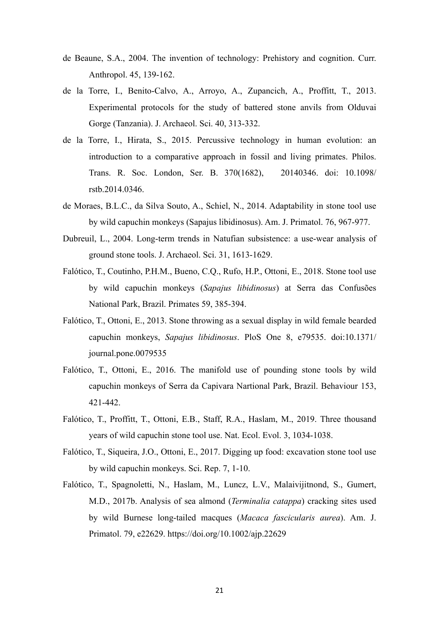- de Beaune, S.A., 2004. The invention of technology: Prehistory and cognition. Curr. Anthropol. 45, 139-162.
- de la Torre, I., Benito-Calvo, A., Arroyo, A., Zupancich, A., Proffitt, T., 2013. Experimental protocols for the study of battered stone anvils from Olduvai Gorge (Tanzania). J. Archaeol. Sci. 40, 313-332.
- de la Torre, I., Hirata, S., 2015. Percussive technology in human evolution: an introduction to a comparative approach in fossil and living primates. Philos. Trans. R. Soc. London, Ser. B. 370(1682), 20140346. doi: 10.1098/ rstb.2014.0346.
- de Moraes, B.L.C., da Silva Souto, A., Schiel, N., 2014. Adaptability in stone tool use by wild capuchin monkeys (Sapajus libidinosus). Am. J. Primatol. 76, 967-977.
- Dubreuil, L., 2004. Long-term trends in Natufian subsistence: a use-wear analysis of ground stone tools. J. Archaeol. Sci. 31, 1613-1629.
- Falótico, T., Coutinho, P.H.M., Bueno, C.Q., Rufo, H.P., Ottoni, E., 2018. Stone tool use by wild capuchin monkeys (*Sapajus libidinosus*) at Serra das Confusões National Park, Brazil. Primates 59, 385-394.
- Falótico, T., Ottoni, E., 2013. Stone throwing as a sexual display in wild female bearded capuchin monkeys, *Sapajus libidinosus*. PloS One 8, e79535. doi:10.1371/ journal.pone.0079535
- Falótico, T., Ottoni, E., 2016. The manifold use of pounding stone tools by wild capuchin monkeys of Serra da Capivara Nartional Park, Brazil. Behaviour 153, 421-442.
- Falótico, T., Proffitt, T., Ottoni, E.B., Staff, R.A., Haslam, M., 2019. Three thousand years of wild capuchin stone tool use. Nat. Ecol. Evol. 3, 1034-1038.
- Falótico, T., Siqueira, J.O., Ottoni, E., 2017. Digging up food: excavation stone tool use by wild capuchin monkeys. Sci. Rep. 7, 1-10.
- Falótico, T., Spagnoletti, N., Haslam, M., Luncz, L.V., Malaivijitnond, S., Gumert, M.D., 2017b. Analysis of sea almond (*Terminalia catappa*) cracking sites used by wild Burnese long-tailed macques (*Macaca fascicularis aurea*). Am. J. Primatol. 79, e22629.<https://doi.org/10.1002/ajp.22629>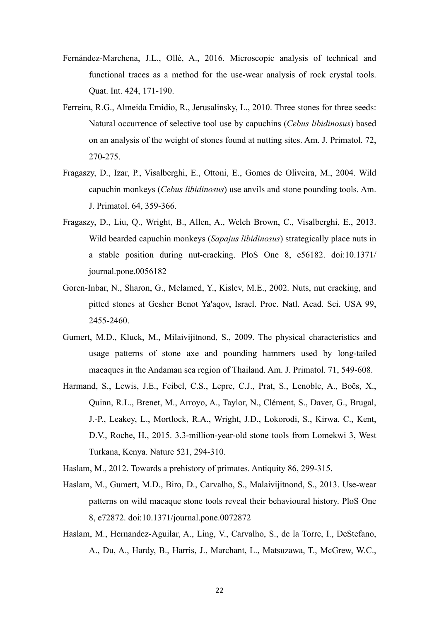- Fernández-Marchena, J.L., Ollé, A., 2016. Microscopic analysis of technical and functional traces as a method for the use-wear analysis of rock crystal tools. Quat. Int. 424, 171-190.
- Ferreira, R.G., Almeida Emidio, R., Jerusalinsky, L., 2010. Three stones for three seeds: Natural occurrence of selective tool use by capuchins (*Cebus libidinosus*) based on an analysis of the weight of stones found at nutting sites. Am. J. Primatol. 72, 270-275.
- Fragaszy, D., Izar, P., Visalberghi, E., Ottoni, E., Gomes de Oliveira, M., 2004. Wild capuchin monkeys (*Cebus libidinosus*) use anvils and stone pounding tools. Am. J. Primatol. 64, 359-366.
- Fragaszy, D., Liu, Q., Wright, B., Allen, A., Welch Brown, C., Visalberghi, E., 2013. Wild bearded capuchin monkeys (*Sapajus libidinosus*) strategically place nuts in a stable position during nut-cracking. PloS One 8, e56182. doi:10.1371/ journal.pone.0056182
- Goren-Inbar, N., Sharon, G., Melamed, Y., Kislev, M.E., 2002. Nuts, nut cracking, and pitted stones at Gesher Benot Ya'aqov, Israel. Proc. Natl. Acad. Sci. USA 99, 2455-2460.
- Gumert, M.D., Kluck, M., Milaivijitnond, S., 2009. The physical characteristics and usage patterns of stone axe and pounding hammers used by long-tailed macaques in the Andaman sea region of Thailand. Am. J. Primatol. 71, 549-608.
- Harmand, S., Lewis, J.E., Feibel, C.S., Lepre, C.J., Prat, S., Lenoble, A., Boës, X., Quinn, R.L., Brenet, M., Arroyo, A., Taylor, N., Clément, S., Daver, G., Brugal, J.-P., Leakey, L., Mortlock, R.A., Wright, J.D., Lokorodi, S., Kirwa, C., Kent, D.V., Roche, H., 2015. 3.3-million-year-old stone tools from Lomekwi 3, West Turkana, Kenya. Nature 521, 294-310.
- Haslam, M., 2012. Towards a prehistory of primates. Antiquity 86, 299-315.
- Haslam, M., Gumert, M.D., Biro, D., Carvalho, S., Malaivijitnond, S., 2013. Use-wear patterns on wild macaque stone tools reveal their behavioural history. PloS One 8, e72872. doi:10.1371/journal.pone.0072872
- Haslam, M., Hernandez-Aguilar, A., Ling, V., Carvalho, S., de la Torre, I., DeStefano, A., Du, A., Hardy, B., Harris, J., Marchant, L., Matsuzawa, T., McGrew, W.C.,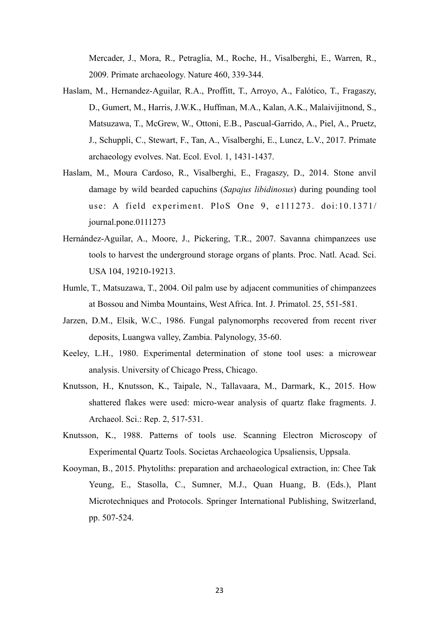Mercader, J., Mora, R., Petraglia, M., Roche, H., Visalberghi, E., Warren, R., 2009. Primate archaeology. Nature 460, 339-344.

- Haslam, M., Hernandez-Aguilar, R.A., Proffitt, T., Arroyo, A., Falótico, T., Fragaszy, D., Gumert, M., Harris, J.W.K., Huffman, M.A., Kalan, A.K., Malaivijitnond, S., Matsuzawa, T., McGrew, W., Ottoni, E.B., Pascual-Garrido, A., Piel, A., Pruetz, J., Schuppli, C., Stewart, F., Tan, A., Visalberghi, E., Luncz, L.V., 2017. Primate archaeology evolves. Nat. Ecol. Evol. 1, 1431-1437.
- Haslam, M., Moura Cardoso, R., Visalberghi, E., Fragaszy, D., 2014. Stone anvil damage by wild bearded capuchins (*Sapajus libidinosus*) during pounding tool use: A field experiment. PloS One 9, e111273. doi:10.1371/ journal.pone.0111273
- Hernández-Aguilar, A., Moore, J., Pickering, T.R., 2007. Savanna chimpanzees use tools to harvest the underground storage organs of plants. Proc. Natl. Acad. Sci. USA 104, 19210-19213.
- Humle, T., Matsuzawa, T., 2004. Oil palm use by adjacent communities of chimpanzees at Bossou and Nimba Mountains, West Africa. Int. J. Primatol. 25, 551-581.
- Jarzen, D.M., Elsik, W.C., 1986. Fungal palynomorphs recovered from recent river deposits, Luangwa valley, Zambia. Palynology, 35-60.
- Keeley, L.H., 1980. Experimental determination of stone tool uses: a microwear analysis. University of Chicago Press, Chicago.
- Knutsson, H., Knutsson, K., Taipale, N., Tallavaara, M., Darmark, K., 2015. How shattered flakes were used: micro-wear analysis of quartz flake fragments. J. Archaeol. Sci.: Rep. 2, 517-531.
- Knutsson, K., 1988. Patterns of tools use. Scanning Electron Microscopy of Experimental Quartz Tools. Societas Archaeologica Upsaliensis, Uppsala.
- Kooyman, B., 2015. Phytoliths: preparation and archaeological extraction, in: Chee Tak Yeung, E., Stasolla, C., Sumner, M.J., Quan Huang, B. (Eds.), Plant Microtechniques and Protocols. Springer International Publishing, Switzerland, pp. 507-524.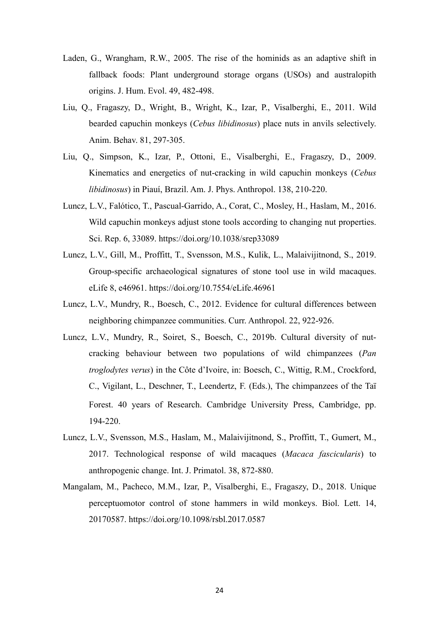- Laden, G., Wrangham, R.W., 2005. The rise of the hominids as an adaptive shift in fallback foods: Plant underground storage organs (USOs) and australopith origins. J. Hum. Evol. 49, 482-498.
- Liu, Q., Fragaszy, D., Wright, B., Wright, K., Izar, P., Visalberghi, E., 2011. Wild bearded capuchin monkeys (*Cebus libidinosus*) place nuts in anvils selectively. Anim. Behav. 81, 297-305.
- Liu, Q., Simpson, K., Izar, P., Ottoni, E., Visalberghi, E., Fragaszy, D., 2009. Kinematics and energetics of nut-cracking in wild capuchin monkeys (*Cebus libidinosus*) in Piauí, Brazil. Am. J. Phys. Anthropol. 138, 210-220.
- Luncz, L.V., Falótico, T., Pascual-Garrido, A., Corat, C., Mosley, H., Haslam, M., 2016. Wild capuchin monkeys adjust stone tools according to changing nut properties. Sci. Rep. 6, 33089. https://doi.org/10.1038/srep33089
- Luncz, L.V., Gill, M., Proffitt, T., Svensson, M.S., Kulik, L., Malaivijitnond, S., 2019. Group-specific archaeological signatures of stone tool use in wild macaques. eLife 8, e46961. https://doi.org/10.7554/eLife.46961
- Luncz, L.V., Mundry, R., Boesch, C., 2012. Evidence for cultural differences between neighboring chimpanzee communities. Curr. Anthropol. 22, 922-926.
- Luncz, L.V., Mundry, R., Soiret, S., Boesch, C., 2019b. Cultural diversity of nutcracking behaviour between two populations of wild chimpanzees (*Pan troglodytes verus*) in the Côte d'Ivoire, in: Boesch, C., Wittig, R.M., Crockford, C., Vigilant, L., Deschner, T., Leendertz, F. (Eds.), The chimpanzees of the Taï Forest. 40 years of Research. Cambridge University Press, Cambridge, pp. 194-220.
- Luncz, L.V., Svensson, M.S., Haslam, M., Malaivijitnond, S., Proffitt, T., Gumert, M., 2017. Technological response of wild macaques (*Macaca fascicularis*) to anthropogenic change. Int. J. Primatol. 38, 872-880.
- Mangalam, M., Pacheco, M.M., Izar, P., Visalberghi, E., Fragaszy, D., 2018. Unique perceptuomotor control of stone hammers in wild monkeys. Biol. Lett. 14, 20170587. https://doi.org/10.1098/rsbl.2017.0587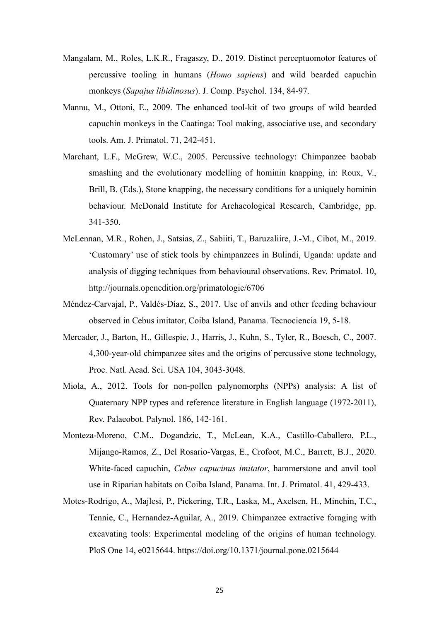- Mangalam, M., Roles, L.K.R., Fragaszy, D., 2019. Distinct perceptuomotor features of percussive tooling in humans (*Homo sapiens*) and wild bearded capuchin monkeys (*Sapajus libidinosus*). J. Comp. Psychol. 134, 84-97.
- Mannu, M., Ottoni, E., 2009. The enhanced tool-kit of two groups of wild bearded capuchin monkeys in the Caatinga: Tool making, associative use, and secondary tools. Am. J. Primatol. 71, 242-451.
- Marchant, L.F., McGrew, W.C., 2005. Percussive technology: Chimpanzee baobab smashing and the evolutionary modelling of hominin knapping, in: Roux, V., Brill, B. (Eds.), Stone knapping, the necessary conditions for a uniquely hominin behaviour. McDonald Institute for Archaeological Research, Cambridge, pp. 341-350.
- McLennan, M.R., Rohen, J., Satsias, Z., Sabiiti, T., Baruzaliire, J.-M., Cibot, M., 2019. 'Customary' use of stick tools by chimpanzees in Bulindi, Uganda: update and analysis of digging techniques from behavioural observations. Rev. Primatol. 10, http://journals.openedition.org/primatologie/6706
- Méndez-Carvajal, P., Valdés-Díaz, S., 2017. Use of anvils and other feeding behaviour observed in Cebus imitator, Coiba Island, Panama. Tecnociencia 19, 5-18.
- Mercader, J., Barton, H., Gillespie, J., Harris, J., Kuhn, S., Tyler, R., Boesch, C., 2007. 4,300-year-old chimpanzee sites and the origins of percussive stone technology, Proc. Natl. Acad. Sci. USA 104, 3043-3048.
- Miola, A., 2012. Tools for non-pollen palynomorphs (NPPs) analysis: A list of Quaternary NPP types and reference literature in English language (1972-2011), Rev. Palaeobot. Palynol. 186, 142-161.
- Monteza-Moreno, C.M., Dogandzic, T., McLean, K.A., Castillo-Caballero, P.L., Mijango-Ramos, Z., Del Rosario-Vargas, E., Crofoot, M.C., Barrett, B.J., 2020. White-faced capuchin, *Cebus capucinus imitator*, hammerstone and anvil tool use in Riparian habitats on Coiba Island, Panama. Int. J. Primatol. 41, 429-433.
- Motes-Rodrigo, A., Majlesi, P., Pickering, T.R., Laska, M., Axelsen, H., Minchin, T.C., Tennie, C., Hernandez-Aguilar, A., 2019. Chimpanzee extractive foraging with excavating tools: Experimental modeling of the origins of human technology. PloS One 14, e0215644. https://doi.org/10.1371/journal.pone.0215644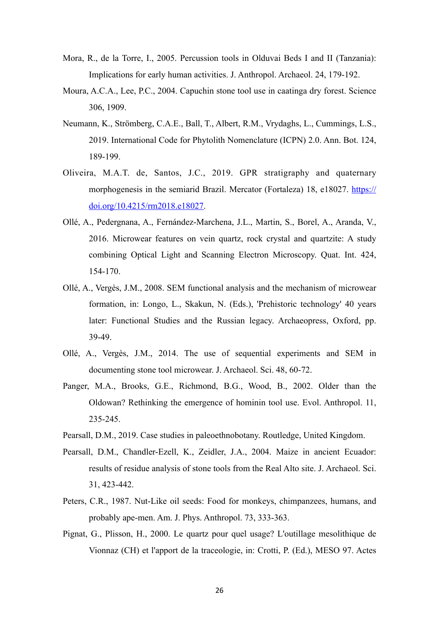- Mora, R., de la Torre, I., 2005. Percussion tools in Olduvai Beds I and II (Tanzania): Implications for early human activities. J. Anthropol. Archaeol. 24, 179-192.
- Moura, A.C.A., Lee, P.C., 2004. Capuchin stone tool use in caatinga dry forest. Science 306, 1909.
- Neumann, K., Strömberg, C.A.E., Ball, T., Albert, R.M., Vrydaghs, L., Cummings, L.S., 2019. International Code for Phytolith Nomenclature (ICPN) 2.0. Ann. Bot. 124, 189-199.
- Oliveira, M.A.T. de, Santos, J.C., 2019. GPR stratigraphy and quaternary morphogenesis in the semiarid Brazil. Mercator (Fortaleza) 18, e18027. [https://](https://doi.org/10.4215/rm2018.e18027) [doi.org/10.4215/rm2018.e18027.](https://doi.org/10.4215/rm2018.e18027)
- Ollé, A., Pedergnana, A., Fernández-Marchena, J.L., Martin, S., Borel, A., Aranda, V., 2016. Microwear features on vein quartz, rock crystal and quartzite: A study combining Optical Light and Scanning Electron Microscopy. Quat. Int. 424, 154-170.
- Ollé, A., Vergès, J.M., 2008. SEM functional analysis and the mechanism of microwear formation, in: Longo, L., Skakun, N. (Eds.), 'Prehistoric technology' 40 years later: Functional Studies and the Russian legacy. Archaeopress, Oxford, pp. 39-49.
- Ollé, A., Vergès, J.M., 2014. The use of sequential experiments and SEM in documenting stone tool microwear. J. Archaeol. Sci. 48, 60-72.
- Panger, M.A., Brooks, G.E., Richmond, B.G., Wood, B., 2002. Older than the Oldowan? Rethinking the emergence of hominin tool use. Evol. Anthropol. 11, 235-245.
- Pearsall, D.M., 2019. Case studies in paleoethnobotany. Routledge, United Kingdom.
- Pearsall, D.M., Chandler-Ezell, K., Zeidler, J.A., 2004. Maize in ancient Ecuador: results of residue analysis of stone tools from the Real Alto site. J. Archaeol. Sci. 31, 423-442.
- Peters, C.R., 1987. Nut-Like oil seeds: Food for monkeys, chimpanzees, humans, and probably ape-men. Am. J. Phys. Anthropol. 73, 333-363.
- Pignat, G., Plisson, H., 2000. Le quartz pour quel usage? L'outillage mesolithique de Vionnaz (CH) et l'apport de la traceologie, in: Crotti, P. (Ed.), MESO 97. Actes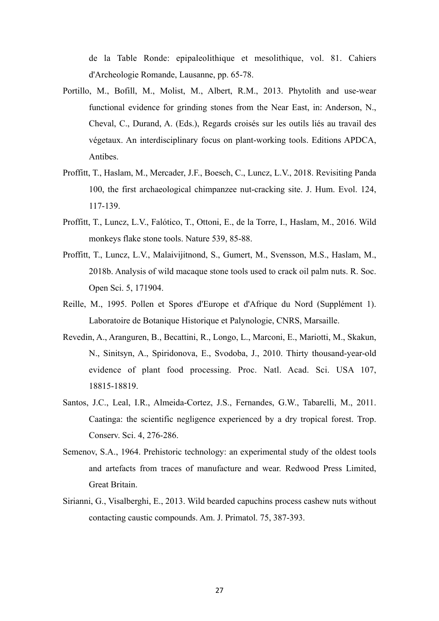de la Table Ronde: epipaleolithique et mesolithique, vol. 81. Cahiers d'Archeologie Romande, Lausanne, pp. 65-78.

- Portillo, M., Bofill, M., Molist, M., Albert, R.M., 2013. Phytolith and use-wear functional evidence for grinding stones from the Near East, in: Anderson, N., Cheval, C., Durand, A. (Eds.), Regards croisés sur les outils liés au travail des végetaux. An interdisciplinary focus on plant-working tools. Editions APDCA, Antibes.
- Proffitt, T., Haslam, M., Mercader, J.F., Boesch, C., Luncz, L.V., 2018. Revisiting Panda 100, the first archaeological chimpanzee nut-cracking site. J. Hum. Evol. 124, 117-139.
- Proffitt, T., Luncz, L.V., Falótico, T., Ottoni, E., de la Torre, I., Haslam, M., 2016. Wild monkeys flake stone tools. Nature 539, 85-88.
- Proffitt, T., Luncz, L.V., Malaivijitnond, S., Gumert, M., Svensson, M.S., Haslam, M., 2018b. Analysis of wild macaque stone tools used to crack oil palm nuts. R. Soc. Open Sci. 5, 171904.
- Reille, M., 1995. Pollen et Spores d'Europe et d'Afrique du Nord (Supplément 1). Laboratoire de Botanique Historique et Palynologie, CNRS, Marsaille.
- Revedin, A., Aranguren, B., Becattini, R., Longo, L., Marconi, E., Mariotti, M., Skakun, N., Sinitsyn, A., Spiridonova, E., Svodoba, J., 2010. Thirty thousand-year-old evidence of plant food processing. Proc. Natl. Acad. Sci. USA 107, 18815-18819.
- Santos, J.C., Leal, I.R., Almeida-Cortez, J.S., Fernandes, G.W., Tabarelli, M., 2011. Caatinga: the scientific negligence experienced by a dry tropical forest. Trop. Conserv. Sci. 4, 276-286.
- Semenov, S.A., 1964. Prehistoric technology: an experimental study of the oldest tools and artefacts from traces of manufacture and wear. Redwood Press Limited, Great Britain.
- Sirianni, G., Visalberghi, E., 2013. Wild bearded capuchins process cashew nuts without contacting caustic compounds. Am. J. Primatol. 75, 387-393.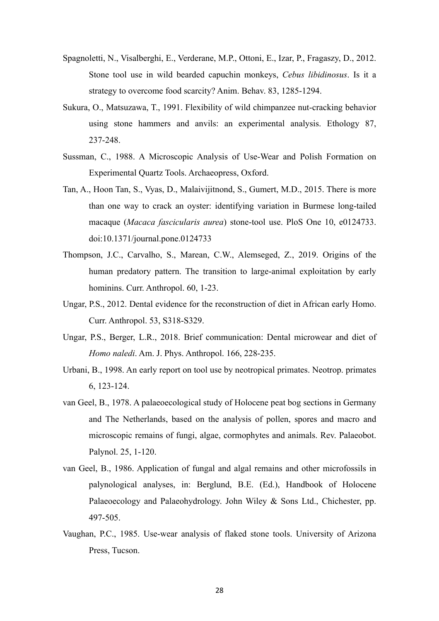- Spagnoletti, N., Visalberghi, E., Verderane, M.P., Ottoni, E., Izar, P., Fragaszy, D., 2012. Stone tool use in wild bearded capuchin monkeys, *Cebus libidinosus*. Is it a strategy to overcome food scarcity? Anim. Behav. 83, 1285-1294.
- Sukura, O., Matsuzawa, T., 1991. Flexibility of wild chimpanzee nut-cracking behavior using stone hammers and anvils: an experimental analysis. Ethology 87, 237-248.
- Sussman, C., 1988. A Microscopic Analysis of Use-Wear and Polish Formation on Experimental Quartz Tools. Archaeopress, Oxford.
- Tan, A., Hoon Tan, S., Vyas, D., Malaivijitnond, S., Gumert, M.D., 2015. There is more than one way to crack an oyster: identifying variation in Burmese long-tailed macaque (*Macaca fascicularis aurea*) stone-tool use. PloS One 10, e0124733. doi:10.1371/journal.pone.0124733
- Thompson, J.C., Carvalho, S., Marean, C.W., Alemseged, Z., 2019. Origins of the human predatory pattern. The transition to large-animal exploitation by early hominins. Curr. Anthropol. 60, 1-23.
- Ungar, P.S., 2012. Dental evidence for the reconstruction of diet in African early Homo. Curr. Anthropol. 53, S318-S329.
- Ungar, P.S., Berger, L.R., 2018. Brief communication: Dental microwear and diet of *Homo naledi*. Am. J. Phys. Anthropol. 166, 228-235.
- Urbani, B., 1998. An early report on tool use by neotropical primates. Neotrop. primates 6, 123-124.
- van Geel, B., 1978. A palaeoecological study of Holocene peat bog sections in Germany and The Netherlands, based on the analysis of pollen, spores and macro and microscopic remains of fungi, algae, cormophytes and animals. Rev. Palaeobot. Palynol. 25, 1-120.
- van Geel, B., 1986. Application of fungal and algal remains and other microfossils in palynological analyses, in: Berglund, B.E. (Ed.), Handbook of Holocene Palaeoecology and Palaeohydrology. John Wiley & Sons Ltd., Chichester, pp. 497-505.
- Vaughan, P.C., 1985. Use-wear analysis of flaked stone tools. University of Arizona Press, Tucson.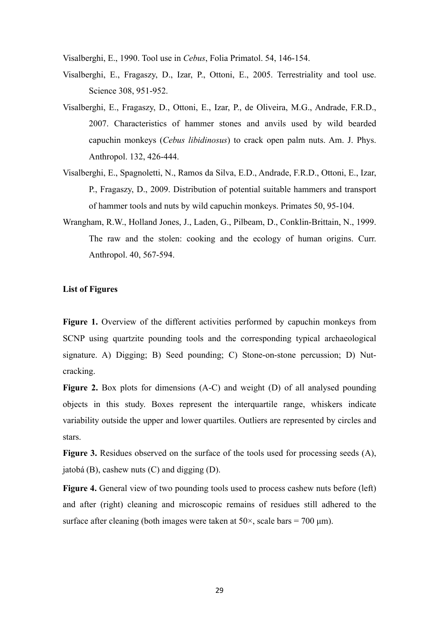Visalberghi, E., 1990. Tool use in *Cebus*, Folia Primatol. 54, 146-154.

- Visalberghi, E., Fragaszy, D., Izar, P., Ottoni, E., 2005. Terrestriality and tool use. Science 308, 951-952.
- Visalberghi, E., Fragaszy, D., Ottoni, E., Izar, P., de Oliveira, M.G., Andrade, F.R.D., 2007. Characteristics of hammer stones and anvils used by wild bearded capuchin monkeys (*Cebus libidinosus*) to crack open palm nuts. Am. J. Phys. Anthropol. 132, 426-444.
- Visalberghi, E., Spagnoletti, N., Ramos da Silva, E.D., Andrade, F.R.D., Ottoni, E., Izar, P., Fragaszy, D., 2009. Distribution of potential suitable hammers and transport of hammer tools and nuts by wild capuchin monkeys. Primates 50, 95-104.
- Wrangham, R.W., Holland Jones, J., Laden, G., Pilbeam, D., Conklin-Brittain, N., 1999. The raw and the stolen: cooking and the ecology of human origins. Curr. Anthropol. 40, 567-594.

## **List of Figures**

**Figure 1.** Overview of the different activities performed by capuchin monkeys from SCNP using quartzite pounding tools and the corresponding typical archaeological signature. A) Digging; B) Seed pounding; C) Stone-on-stone percussion; D) Nutcracking.

**Figure 2.** Box plots for dimensions (A-C) and weight (D) of all analysed pounding objects in this study. Boxes represent the interquartile range, whiskers indicate variability outside the upper and lower quartiles. Outliers are represented by circles and stars.

**Figure 3.** Residues observed on the surface of the tools used for processing seeds (A), jatobá (B), cashew nuts (C) and digging (D).

**Figure 4.** General view of two pounding tools used to process cashew nuts before (left) and after (right) cleaning and microscopic remains of residues still adhered to the surface after cleaning (both images were taken at  $50 \times$ , scale bars =  $700 \text{ }\mu\text{m}$ ).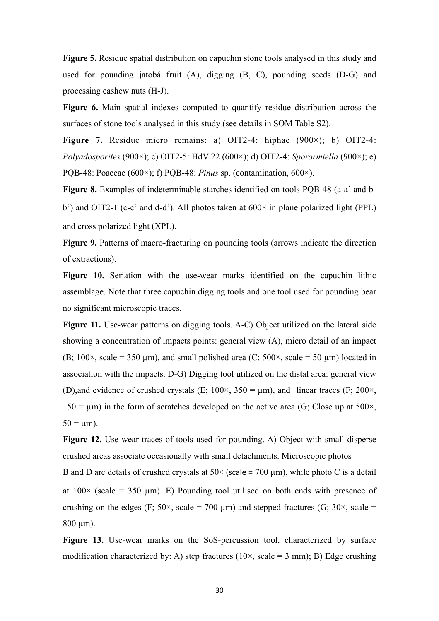**Figure 5.** Residue spatial distribution on capuchin stone tools analysed in this study and used for pounding jatobá fruit (A), digging (B, C), pounding seeds (D-G) and processing cashew nuts (H-J).

**Figure 6.** Main spatial indexes computed to quantify residue distribution across the surfaces of stone tools analysed in this study (see details in SOM Table S2).

**Figure 7.** Residue micro remains: a) OIT2-4: hiphae (900×); b) OIT2-4: *Polyadosporites* (900×); c) OIT2-5: HdV 22 (600×); d) OIT2-4: *Sporormiella* (900×); e) PQB-48: Poaceae (600×); f) PQB-48: *Pinus* sp. (contamination, 600×).

**Figure 8.** Examples of indeterminable starches identified on tools PQB-48 (a-a' and bb') and OIT2-1 (c-c' and d-d'). All photos taken at  $600 \times$  in plane polarized light (PPL) and cross polarized light (XPL).

**Figure 9.** Patterns of macro-fracturing on pounding tools (arrows indicate the direction of extractions).

**Figure 10.** Seriation with the use-wear marks identified on the capuchin lithic assemblage. Note that three capuchin digging tools and one tool used for pounding bear no significant microscopic traces.

**Figure 11.** Use-wear patterns on digging tools. A-C) Object utilized on the lateral side showing a concentration of impacts points: general view (A), micro detail of an impact (B;  $100 \times$ , scale = 350 µm), and small polished area (C;  $500 \times$ , scale = 50 µm) located in association with the impacts. D-G) Digging tool utilized on the distal area: general view (D),and evidence of crushed crystals (E;  $100 \times$ ,  $350 = \mu$ m), and linear traces (F;  $200 \times$ ,  $150 = \mu m$ ) in the form of scratches developed on the active area (G; Close up at 500 $\times$ ,  $50 = \mu m$ ).

**Figure 12.** Use-wear traces of tools used for pounding. A) Object with small disperse crushed areas associate occasionally with small detachments. Microscopic photos B and D are details of crushed crystals at  $50\times$  (scale = 700 µm), while photo C is a detail at  $100\times$  (scale = 350 µm). E) Pounding tool utilised on both ends with presence of crushing on the edges (F:  $50 \times$ , scale = 700 um) and stepped fractures (G:  $30 \times$ , scale =  $800 \text{ µm}$ ).

**Figure 13.** Use-wear marks on the SoS-percussion tool, characterized by surface modification characterized by: A) step fractures ( $10\times$ , scale = 3 mm); B) Edge crushing